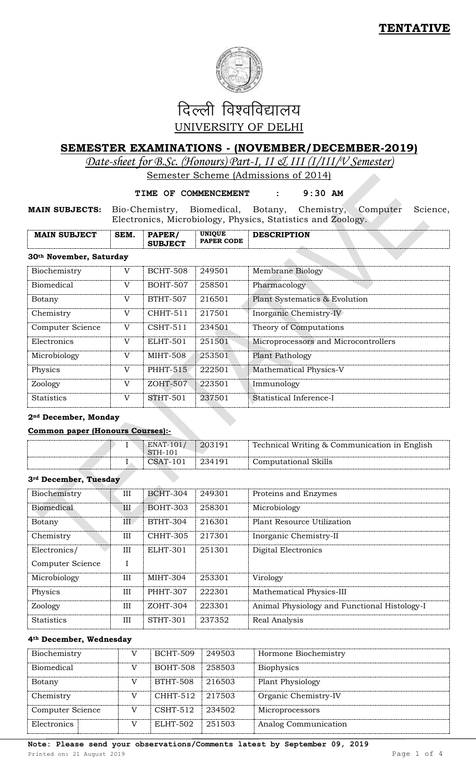

# दिल्ली विश्वविद्यालय UNIVERSITY OF DELHI

# **SEMESTER EXAMINATIONS - (NOVEMBER/DECEMBER-2019)**

*Date-sheet for B.Sc. (Honours) Part-I, II & III (I/III/V Semester)* 

Semester Scheme (Admissions of 2014)

#### **TIME OF COMMENCEMENT : 9:30 AM**

**MAIN SUBJECTS:** Bio-Chemistry, Biomedical, Botany, Chemistry, Computer Science, Electronics, Microbiology, Physics, Statistics and Zoology.  $\Delta$ 

| <b>MAIN SUBJECT</b>     | SEM. | <b>PAPER</b><br><b>SUBJECT</b> | <b>UNIOUE</b><br><b>PAPER CODE</b> | <b>DESCRIPTION</b> |  |  |
|-------------------------|------|--------------------------------|------------------------------------|--------------------|--|--|
| 30th November, Saturday |      |                                |                                    |                    |  |  |

#### **30th November, Saturday**

| Biochemistry      | V | <b>BCHT-508</b> | 249501 | Membrane Biology                     |
|-------------------|---|-----------------|--------|--------------------------------------|
| <b>Biomedical</b> | V | <b>BOHT-507</b> | 258501 | Pharmacology                         |
| Botany            | V | <b>BTHT-507</b> | 216501 | Plant Systematics & Evolution        |
| Chemistry         | V | <b>CHHT-511</b> | 217501 | Inorganic Chemistry-IV               |
| Computer Science  | V | $CSHT-511$      | 234501 | Theory of Computations               |
| Electronics       | V | ELHT-501        | 251501 | Microprocessors and Microcontrollers |
| Microbiology      | V | <b>MIHT-508</b> | 253501 | Plant Pathology                      |
| Physics           | V | <b>PHHT-515</b> | 222501 | <b>Mathematical Physics-V</b>        |
| Zoology           | V | ZOHT-507        | 223501 | Immunology                           |
| <b>Statistics</b> | V | <b>STHT-501</b> | 237501 | Statistical Inference-I              |

### **2nd December, Monday**

#### **Common paper (Honours Courses):-**

| <b>STH-101</b>     |                      |
|--------------------|----------------------|
| CSAT-101<br>234191 | Computational Skills |

# **3rd December, Tuesday**

| Biochemistry      | Ш   | <b>BCHT-304</b> | 249301 | Proteins and Enzymes                         |
|-------------------|-----|-----------------|--------|----------------------------------------------|
| <b>Biomedical</b> | III | <b>BOHT-303</b> | 258301 | Microbiology                                 |
| Botany            | III | <b>BTHT-304</b> | 216301 | Plant Resource Utilization                   |
| Chemistry         | Ш   | <b>CHHT-305</b> | 217301 | Inorganic Chemistry-II                       |
| Electronics/      | III | ELHT-301        | 251301 | Digital Electronics                          |
| Computer Science  |     |                 |        |                                              |
| Microbiology      | III | MIHT-304        | 253301 | Virology                                     |
| Physics           | III | <b>PHHT-307</b> | 222301 | Mathematical Physics-III                     |
| Zoology           | III | ZOHT-304        | 223301 | Animal Physiology and Functional Histology-I |
| <b>Statistics</b> | III | <b>STHT-301</b> | 237352 | Real Analysis                                |

#### **4th December, Wednesday**

| Biochemistry     | <b>BCHT-509</b> | 249503 | Hormone Biochemistry    |
|------------------|-----------------|--------|-------------------------|
| Biomedical       | <b>BOHT-508</b> | 258503 | <b>Biophysics</b>       |
| Botany           | <b>BTHT-508</b> | 216503 | <b>Plant Physiology</b> |
| Chemistry        | CHHT-512        | 217503 | Organic Chemistry-IV    |
| Computer Science | $CSHT-512$      | 234502 | Microprocessors         |
| Electronics      | ELHT-502        | 251503 | Analog Communication    |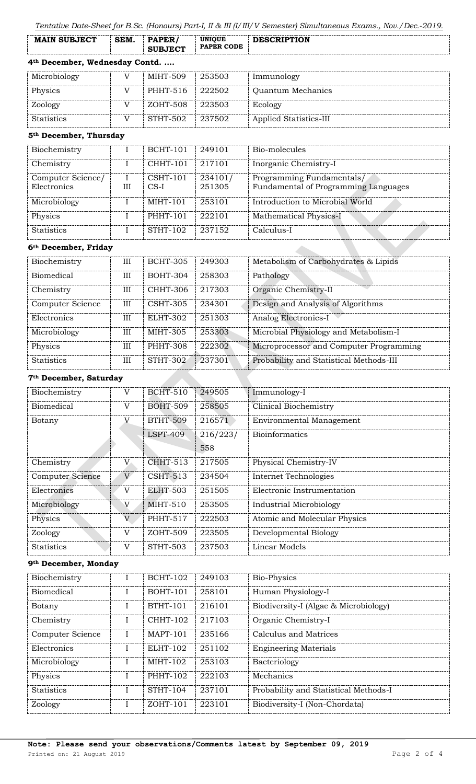| <b>SUBJECT</b> |
|----------------|
|----------------|

# **4th December, Wednesday Contd. ….**

| Microbiology      | MIHT-509 | 253503 | Immunology             |
|-------------------|----------|--------|------------------------|
| Physics           | PHHT-516 | 222502 | Quantum Mechanics      |
| Zoology           | ZOHT-508 | 223503 | Ecology                |
| <b>Statistics</b> | STHT-502 | 237502 | Applied Statistics-III |

## **5th December, Thursday**

| Biochemistry      |   | <b>BCHT-101</b> | 249101  | Bio-molecules                        |
|-------------------|---|-----------------|---------|--------------------------------------|
| Chemistry         |   | <b>CHHT-101</b> | 217101  | Inorganic Chemistry-I                |
| Computer Science/ |   | $CSHT-101$      | 234101/ | Programming Fundamentals/            |
| Electronics       | Ш | $CS-I$          | 251305  | Fundamental of Programming Languages |
| Microbiology      |   | $MHT-101$       | 253101  | Introduction to Microbial World      |
| Physics           |   | <b>PHHT-101</b> | 222101  | Mathematical Physics-I               |
| <b>Statistics</b> |   | <b>STHT-102</b> | 237152  | Calculus-I                           |

 $\mathbf{A}$ 

#### **6th December, Friday**

| Biochemistry      | IΙI | <b>BCHT-305</b> | 249303 | Metabolism of Carbohydrates & Lipids    |
|-------------------|-----|-----------------|--------|-----------------------------------------|
| <b>Biomedical</b> | III | <b>BOHT-304</b> | 258303 | Pathology                               |
| Chemistry         | III | CHHT-306        | 217303 | Organic Chemistry-II                    |
| Computer Science  | Ш   | <b>CSHT-305</b> | 234301 | Design and Analysis of Algorithms       |
| Electronics       | III | ELHT-302        | 251303 | Analog Electronics-I                    |
| Microbiology      | III | MIHT-305        | 253303 | Microbial Physiology and Metabolism-I   |
| Physics           | IΙI | <b>PHHT-308</b> | 222302 | Microprocessor and Computer Programming |
| <b>Statistics</b> | III | <b>STHT-302</b> | 237301 | Probability and Statistical Methods-III |

# **7th December, Saturday**

| Biochemistry      | V           | <b>BCHT-510</b> | 249505   | Immunology-I                    |
|-------------------|-------------|-----------------|----------|---------------------------------|
| <b>Biomedical</b> | $\mathbf V$ | <b>BOHT-509</b> | 258505   | <b>Clinical Biochemistry</b>    |
| Botany            | $\mathbf V$ | <b>BTHT-509</b> | 216571   | <b>Environmental Management</b> |
|                   |             | $LSPT-409$      | 216/223/ | <b>Bioinformatics</b>           |
|                   |             |                 | 558      |                                 |
| Chemistry         | V           | <b>CHHT-513</b> | 217505   | Physical Chemistry-IV           |
| Computer Science  | V           | $CSHT-513$      | 234504   | <b>Internet Technologies</b>    |
| Electronics       | V           | ELHT-503        | 251505   | Electronic Instrumentation      |
| Microbiology      | V           | $MIHT-510$      | 253505   | <b>Industrial Microbiology</b>  |
| Physics           | V           | <b>PHHT-517</b> | 222503   | Atomic and Molecular Physics    |
| Zoology           | V           | ZOHT-509        | 223505   | Developmental Biology           |
| <b>Statistics</b> | V           | STHT-503        | 237503   | Linear Models                   |

## **9th December, Monday**

| Biochemistry      | L | <b>BCHT-102</b> | 249103 | Bio-Physics                           |
|-------------------|---|-----------------|--------|---------------------------------------|
| <b>Biomedical</b> |   | <b>BOHT-101</b> | 258101 | Human Physiology-I                    |
| Botany            |   | <b>BTHT-101</b> | 216101 | Biodiversity-I (Algae & Microbiology) |
| Chemistry         |   | <b>CHHT-102</b> | 217103 | Organic Chemistry-I                   |
| Computer Science  | L | <b>MAPT-101</b> | 235166 | Calculus and Matrices                 |
| Electronics       |   | <b>ELHT-102</b> | 251102 | <b>Engineering Materials</b>          |
| Microbiology      |   | MIHT-102        | 253103 | Bacteriology                          |
| Physics           |   | <b>PHHT-102</b> | 222103 | Mechanics                             |
| <b>Statistics</b> |   | <b>STHT-104</b> | 237101 | Probability and Statistical Methods-I |
| Zoology           | L | $ZOHT-101$      | 223101 | Biodiversity-I (Non-Chordata)         |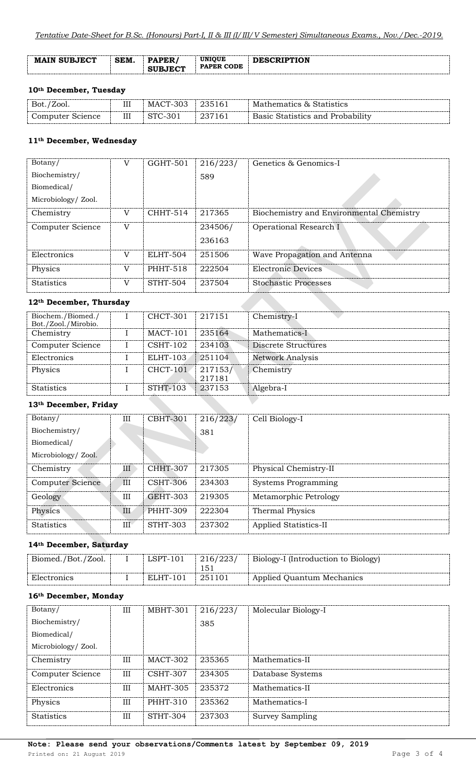| <b>MAIN SUBJECT</b> | SEM. | PER<br>.<br><b>SURJECT</b> | <b>UNIOUE</b><br><b>PAPER CODE</b> | <b>DESCRIPTION</b> |
|---------------------|------|----------------------------|------------------------------------|--------------------|
|                     |      |                            |                                    |                    |

## **10th December, Tuesday**

| Bot./Zool.       | Ш | MACT-303 | 235161 | Mathematics & Statistics         |
|------------------|---|----------|--------|----------------------------------|
| Computer Science | Ш | STC-301  | 237161 | Basic Statistics and Probability |

# **11th December, Wednesday**

| Botany/                             | V | GGHT-501        | 216/223/ | Genetics & Genomics-I                    |
|-------------------------------------|---|-----------------|----------|------------------------------------------|
| Biochemistry/                       |   |                 | 589      |                                          |
| Biomedical/                         |   |                 |          |                                          |
| Microbiology/ Zool.                 |   |                 |          |                                          |
| Chemistry                           | V | CHHT-514        | 217365   | Biochemistry and Environmental Chemistry |
| Computer Science                    | V |                 | 234506/  | Operational Research I                   |
|                                     |   |                 | 236163   |                                          |
| Electronics                         | V | ELHT-504        | 251506   | Wave Propagation and Antenna             |
| Physics                             | V | <b>PHHT-518</b> | 222504   | Electronic Devices                       |
| <b>Statistics</b>                   | V | STHT-504        | 237504   | <b>Stochastic Processes</b>              |
| 12 <sup>th</sup> December, Thursday |   |                 |          |                                          |

# **12th December, Thursday**

| Biochem./Biomed./                                          |  | CHCT-301        | 217151  | Chemistry-I             |
|------------------------------------------------------------|--|-----------------|---------|-------------------------|
| Bot./Zool./Mirobio.                                        |  |                 |         |                         |
| Chemistry                                                  |  | MACT-101        | 235164  | Mathematics-I           |
| Computer Science                                           |  | $CSHT-102$      | 234103  | Discrete Structures     |
| Electronics                                                |  | <b>ELHT-103</b> | 251104  | <b>Network Analysis</b> |
| Physics                                                    |  | <b>CHCT-101</b> | 217153/ | Chemistry               |
|                                                            |  |                 | 217181  |                         |
| <b>Statistics</b>                                          |  | <b>STHT-103</b> | 237153  | Algebra-I               |
| $1045 \, \text{m}$ . $1 \, \text{m}$ $\text{m}$ $\text{m}$ |  |                 |         |                         |

# **13th December, Friday**

| Botany/             | Ш                    | <b>CBHT-301</b> | 216/223/ | Cell Biology-I             |
|---------------------|----------------------|-----------------|----------|----------------------------|
| Biochemistry/       |                      |                 | 381      |                            |
| Biomedical/         |                      |                 |          |                            |
| Microbiology/ Zool. |                      |                 |          |                            |
| Chemistry           | Ш                    | <b>CHHT-307</b> | 217305   | Physical Chemistry-II      |
| Computer Science    | $\overline{\rm III}$ | <b>CSHT-306</b> | 234303   | <b>Systems Programming</b> |
| Geology             | III                  | <b>GEHT-303</b> | 219305   | Metamorphic Petrology      |
| Physics             | III                  | PHHT-309        | 222304   | Thermal Physics            |
| <b>Statistics</b>   | III                  | <b>STHT-303</b> | 237302   | Applied Statistics-II      |

# **14th December, Saturday**

| Biomed./Bot./Zool. | $LSPT-101$ | 216/223/ | Biology-I (Introduction to Biology) |
|--------------------|------------|----------|-------------------------------------|
|                    |            |          |                                     |
| Electronics        | ELHT-101   | 251101   | Applied Quantum Mechanics           |

# **16th December, Monday**

| Botany/             | III | MBHT-301        | 216/223/ | Molecular Biology-I |
|---------------------|-----|-----------------|----------|---------------------|
| Biochemistry/       |     |                 | 385      |                     |
| Biomedical/         |     |                 |          |                     |
| Microbiology/ Zool. |     |                 |          |                     |
| Chemistry           | Ш   | MACT-302        | 235365   | Mathematics-II      |
| Computer Science    | III | CSHT-307        | 234305   | Database Systems    |
| Electronics         | III | <b>MAHT-305</b> | 235372   | Mathematics-II      |
| Physics             | III | <b>PHHT-310</b> | 235362   | Mathematics-I       |
| <b>Statistics</b>   | III | STHT-304        | 237303   | Survey Sampling     |